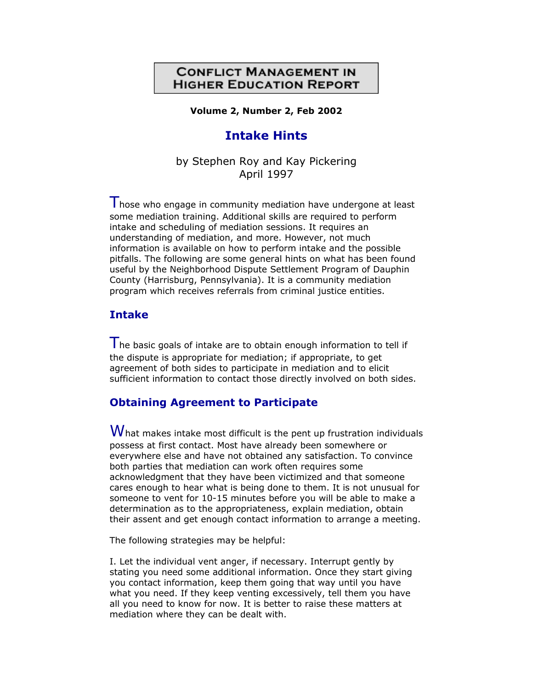## **CONFLICT MANAGEMENT IN HIGHER EDUCATION REPORT**

**Volume 2, Number 2, Feb 2002**

# **Intake Hints**

by Stephen Roy and Kay Pickering April 1997

 $\mathsf I$  hose who engage in community mediation have undergone at least some mediation training. Additional skills are required to perform intake and scheduling of mediation sessions. It requires an understanding of mediation, and more. However, not much information is available on how to perform intake and the possible pitfalls. The following are some general hints on what has been found useful by the Neighborhood Dispute Settlement Program of Dauphin County (Harrisburg, Pennsylvania). It is a community mediation program which receives referrals from criminal justice entities.

## **Intake**

The basic goals of intake are to obtain enough information to tell if the dispute is appropriate for mediation; if appropriate, to get agreement of both sides to participate in mediation and to elicit sufficient information to contact those directly involved on both sides.

#### **Obtaining Agreement to Participate**

 $W$ hat makes intake most difficult is the pent up frustration individuals possess at first contact. Most have already been somewhere or everywhere else and have not obtained any satisfaction. To convince both parties that mediation can work often requires some acknowledgment that they have been victimized and that someone cares enough to hear what is being done to them. It is not unusual for someone to vent for 10-15 minutes before you will be able to make a determination as to the appropriateness, explain mediation, obtain their assent and get enough contact information to arrange a meeting.

The following strategies may be helpful:

I. Let the individual vent anger, if necessary. Interrupt gently by stating you need some additional information. Once they start giving you contact information, keep them going that way until you have what you need. If they keep venting excessively, tell them you have all you need to know for now. It is better to raise these matters at mediation where they can be dealt with.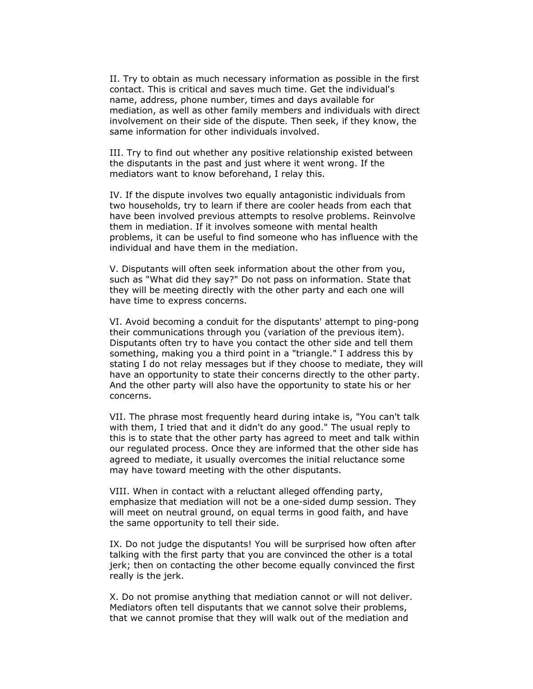II. Try to obtain as much necessary information as possible in the first contact. This is critical and saves much time. Get the individual's name, address, phone number, times and days available for mediation, as well as other family members and individuals with direct involvement on their side of the dispute. Then seek, if they know, the same information for other individuals involved.

III. Try to find out whether any positive relationship existed between the disputants in the past and just where it went wrong. If the mediators want to know beforehand, I relay this.

IV. If the dispute involves two equally antagonistic individuals from two households, try to learn if there are cooler heads from each that have been involved previous attempts to resolve problems. Reinvolve them in mediation. If it involves someone with mental health problems, it can be useful to find someone who has influence with the individual and have them in the mediation.

V. Disputants will often seek information about the other from you, such as "What did they say?" Do not pass on information. State that they will be meeting directly with the other party and each one will have time to express concerns.

VI. Avoid becoming a conduit for the disputants' attempt to ping-pong their communications through you (variation of the previous item). Disputants often try to have you contact the other side and tell them something, making you a third point in a "triangle." I address this by stating I do not relay messages but if they choose to mediate, they will have an opportunity to state their concerns directly to the other party. And the other party will also have the opportunity to state his or her concerns.

VII. The phrase most frequently heard during intake is, "You can't talk with them, I tried that and it didn't do any good." The usual reply to this is to state that the other party has agreed to meet and talk within our regulated process. Once they are informed that the other side has agreed to mediate, it usually overcomes the initial reluctance some may have toward meeting with the other disputants.

VIII. When in contact with a reluctant alleged offending party, emphasize that mediation will not be a one-sided dump session. They will meet on neutral ground, on equal terms in good faith, and have the same opportunity to tell their side.

IX. Do not judge the disputants! You will be surprised how often after talking with the first party that you are convinced the other is a total jerk; then on contacting the other become equally convinced the first really is the jerk.

X. Do not promise anything that mediation cannot or will not deliver. Mediators often tell disputants that we cannot solve their problems, that we cannot promise that they will walk out of the mediation and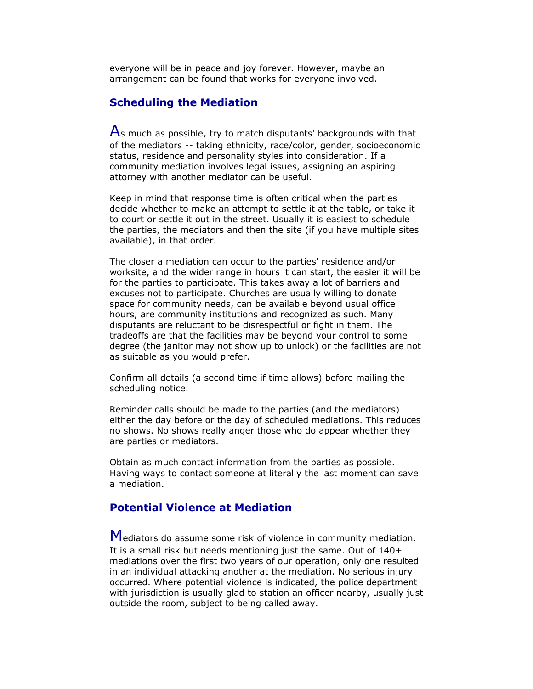everyone will be in peace and joy forever. However, maybe an arrangement can be found that works for everyone involved.

#### **Scheduling the Mediation**

 $\overline{A}$ s much as possible, try to match disputants' backgrounds with that of the mediators -- taking ethnicity, race/color, gender, socioeconomic status, residence and personality styles into consideration. If a community mediation involves legal issues, assigning an aspiring attorney with another mediator can be useful.

Keep in mind that response time is often critical when the parties decide whether to make an attempt to settle it at the table, or take it to court or settle it out in the street. Usually it is easiest to schedule the parties, the mediators and then the site (if you have multiple sites available), in that order.

The closer a mediation can occur to the parties' residence and/or worksite, and the wider range in hours it can start, the easier it will be for the parties to participate. This takes away a lot of barriers and excuses not to participate. Churches are usually willing to donate space for community needs, can be available beyond usual office hours, are community institutions and recognized as such. Many disputants are reluctant to be disrespectful or fight in them. The tradeoffs are that the facilities may be beyond your control to some degree (the janitor may not show up to unlock) or the facilities are not as suitable as you would prefer.

Confirm all details (a second time if time allows) before mailing the scheduling notice.

Reminder calls should be made to the parties (and the mediators) either the day before or the day of scheduled mediations. This reduces no shows. No shows really anger those who do appear whether they are parties or mediators.

Obtain as much contact information from the parties as possible. Having ways to contact someone at literally the last moment can save a mediation.

### **Potential Violence at Mediation**

Mediators do assume some risk of violence in community mediation. It is a small risk but needs mentioning just the same. Out of 140+ mediations over the first two years of our operation, only one resulted in an individual attacking another at the mediation. No serious injury occurred. Where potential violence is indicated, the police department with jurisdiction is usually glad to station an officer nearby, usually just outside the room, subject to being called away.